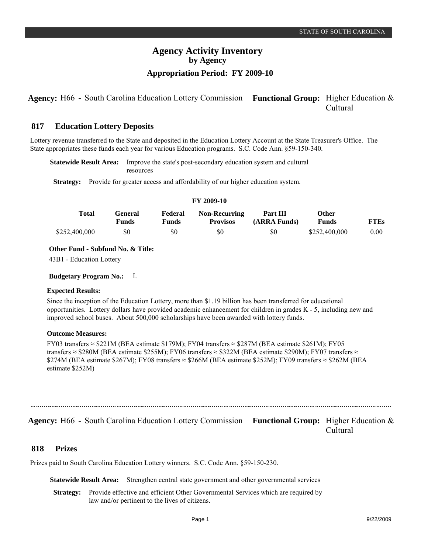# **Agency Activity Inventory by Agency Appropriation Period: FY 2009-10**

## **Agency:** H66 - South Carolina Education Lottery Commission Functional Group: Higher Education & Cultural

#### **Education Lottery Deposits 817**

Lottery revenue transferred to the State and deposited in the Education Lottery Account at the State Treasurer's Office. The State appropriates these funds each year for various Education programs. S.C. Code Ann. §59-150-340.

**Statewide Result Area:** Improve the state's post-secondary education system and cultural resources

**Strategy:** Provide for greater access and affordability of our higher education system.

### **FY 2009-10**

| Total         | Feneral<br>Funds | Federal<br>Funds | <b>Non-Recurring</b><br><b>Provisos</b> | Part III<br>(ARRA Funds) | Other<br><b>Funds</b> | FTEs |
|---------------|------------------|------------------|-----------------------------------------|--------------------------|-----------------------|------|
| \$252,400,000 | \$0              | \$0              | \$0                                     | \$C                      | \$252,400,000         | 0.00 |

**Other Fund - Subfund No. & Title:**

43B1 - Education Lottery

```
Budgetary Program No.: I.
```
### **Expected Results:**

Since the inception of the Education Lottery, more than \$1.19 billion has been transferred for educational opportunities. Lottery dollars have provided academic enhancement for children in grades K - 5, including new and improved school buses. About 500,000 scholarships have been awarded with lottery funds.

### **Outcome Measures:**

FY03 transfers  $\approx$  \$221M (BEA estimate \$179M); FY04 transfers  $\approx$  \$287M (BEA estimate \$261M); FY05 transfers ≈ \$280M (BEA estimate \$255M); FY06 transfers ≈ \$322M (BEA estimate \$290M); FY07 transfers ≈ \$274M (BEA estimate \$267M); FY08 transfers ≈ \$266M (BEA estimate \$252M); FY09 transfers ≈ \$262M (BEA estimate \$252M)

## **Agency:** H66 - South Carolina Education Lottery Commission Functional Group: Higher Education & Cultural

#### **Prizes 818**

Prizes paid to South Carolina Education Lottery winners. S.C. Code Ann. §59-150-230.

**Statewide Result Area:** Strengthen central state government and other governmental services

**Strategy:** Provide effective and efficient Other Governmental Services which are required by law and/or pertinent to the lives of citizens.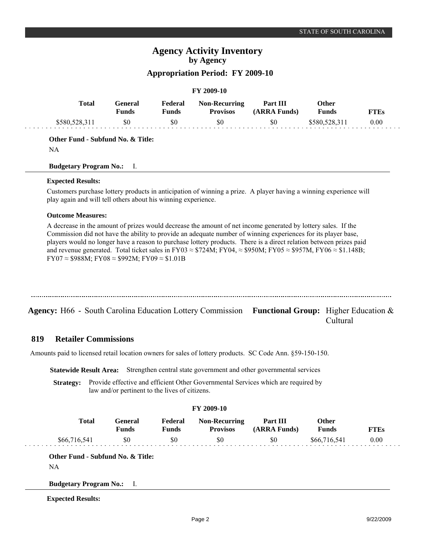# **Agency Activity Inventory by Agency**

## **Appropriation Period: FY 2009-10**

| <b>FY 2009-10</b> |                         |                  |                                         |                          |                              |             |
|-------------------|-------------------------|------------------|-----------------------------------------|--------------------------|------------------------------|-------------|
| <b>Total</b>      | General<br><b>Funds</b> | Federal<br>Funds | <b>Non-Recurring</b><br><b>Provisos</b> | Part III<br>(ARRA Funds) | <b>Other</b><br><b>Funds</b> | <b>FTEs</b> |
| \$580,528,311     | \$0                     | \$0              | \$0                                     | \$0                      | \$580,528,311                | 0.00        |

**Other Fund - Subfund No. & Title:**

NA

**Budgetary Program No.:** I.

### **Expected Results:**

Customers purchase lottery products in anticipation of winning a prize. A player having a winning experience will play again and will tell others about his winning experience.

### **Outcome Measures:**

A decrease in the amount of prizes would decrease the amount of net income generated by lottery sales. If the Commission did not have the ability to provide an adequate number of winning experiences for its player base, players would no longer have a reason to purchase lottery products. There is a direct relation between prizes paid and revenue generated. Total ticket sales in FY03  $\approx$  \$724M; FY04,  $\approx$  \$950M; FY05  $\approx$  \$957M, FY06  $\approx$  \$1.148B;  $FY07 \approx $988M$ ; FY08  $\approx $992M$ ; FY09  $\approx $1.01B$ 

| Agency: H66 - South Carolina Education Lottery Commission Functional Group: Higher Education & |  |
|------------------------------------------------------------------------------------------------|--|

Cultural

#### **Retailer Commissions 819**

Amounts paid to licensed retail location owners for sales of lottery products. SC Code Ann. §59-150-150.

**Statewide Result Area:** Strengthen central state government and other governmental services

**Strategy:** Provide effective and efficient Other Governmental Services which are required by law and/or pertinent to the lives of citizens.

### **FY 2009-10**

| <b>Total</b> | General)<br>Funds | Federal<br><b>Funds</b> | <b>Non-Recurring</b><br><b>Provisos</b> | Part III<br>(ARRA Funds) | Other<br><b>Funds</b> | <b>FTEs</b> |
|--------------|-------------------|-------------------------|-----------------------------------------|--------------------------|-----------------------|-------------|
| \$66,716,541 | \$0               | \$0                     | \$0                                     | SO.                      | \$66,716,541          | 0.00        |

**Other Fund - Subfund No. & Title:**

NA

**Budgetary Program No.:** I.

**Expected Results:**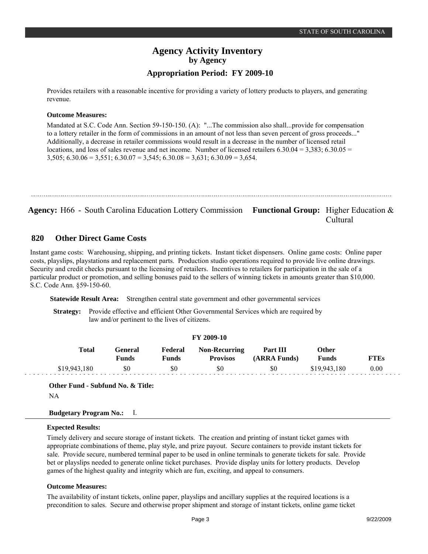# **Agency Activity Inventory by Agency Appropriation Period: FY 2009-10**

Provides retailers with a reasonable incentive for providing a variety of lottery products to players, and generating revenue.

### **Outcome Measures:**

Mandated at S.C. Code Ann. Section 59-150-150. (A): "...The commission also shall...provide for compensation to a lottery retailer in the form of commissions in an amount of not less than seven percent of gross proceeds..." Additionally, a decrease in retailer commissions would result in a decrease in the number of licensed retail locations, and loss of sales revenue and net income. Number of licensed retailers  $6.30.04 = 3,383$ ;  $6.30.05 =$  $3,505$ ;  $6.30.06 = 3,551$ ;  $6.30.07 = 3,545$ ;  $6.30.08 = 3,631$ ;  $6.30.09 = 3,654$ .

**Agency:** H66 - South Carolina Education Lottery Commission Functional Group: Higher Education & Cultural

#### **Other Direct Game Costs 820**

Instant game costs: Warehousing, shipping, and printing tickets. Instant ticket dispensers. Online game costs: Online paper costs, playslips, playstations and replacement parts. Production studio operations required to provide live online drawings. Security and credit checks pursuant to the licensing of retailers. Incentives to retailers for participation in the sale of a particular product or promotion, and selling bonuses paid to the sellers of winning tickets in amounts greater than \$10,000. S.C. Code Ann. §59-150-60.

**Statewide Result Area:** Strengthen central state government and other governmental services

**Strategy:** Provide effective and efficient Other Governmental Services which are required by law and/or pertinent to the lives of citizens.

| <b>Total</b> | General      | Federal      | <b>Non-Recurring</b> | Part III     | Other        |             |
|--------------|--------------|--------------|----------------------|--------------|--------------|-------------|
|              | <b>Funds</b> | <b>Funds</b> | <b>Provisos</b>      | (ARRA Funds) | <b>Funds</b> | <b>FTEs</b> |
| \$19,943,180 | \$0          | \$0          | \$0                  | \$0          | \$19,943,180 | 0.00        |

**Other Fund - Subfund No. & Title:** NA

### **Budgetary Program No.:** I.

### **Expected Results:**

Timely delivery and secure storage of instant tickets. The creation and printing of instant ticket games with appropriate combinations of theme, play style, and prize payout. Secure containers to provide instant tickets for sale. Provide secure, numbered terminal paper to be used in online terminals to generate tickets for sale. Provide bet or playslips needed to generate online ticket purchases. Provide display units for lottery products. Develop games of the highest quality and integrity which are fun, exciting, and appeal to consumers.

### **Outcome Measures:**

The availability of instant tickets, online paper, playslips and ancillary supplies at the required locations is a precondition to sales. Secure and otherwise proper shipment and storage of instant tickets, online game ticket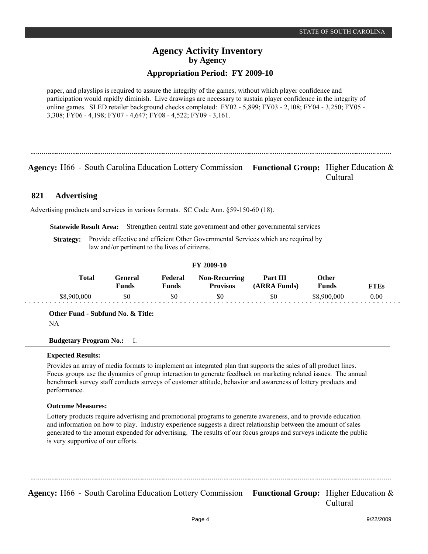# **Agency Activity Inventory by Agency**

## **Appropriation Period: FY 2009-10**

paper, and playslips is required to assure the integrity of the games, without which player confidence and participation would rapidly diminish. Live drawings are necessary to sustain player confidence in the integrity of online games. SLED retailer background checks completed: FY02 - 5,899; FY03 - 2,108; FY04 - 3,250; FY05 - 3,308; FY06 - 4,198; FY07 - 4,647; FY08 - 4,522; FY09 - 3,161.

**Agency:** H66 - South Carolina Education Lottery Commission Functional Group: Higher Education & Cultural

#### **Advertising 821**

Advertising products and services in various formats. SC Code Ann. §59-150-60 (18).

**Statewide Result Area:** Strengthen central state government and other governmental services

**Strategy:** Provide effective and efficient Other Governmental Services which are required by law and/or pertinent to the lives of citizens.

### **FY 2009-10**

| Total       | <b>Teneral</b><br>Funds | Federal<br>Funds | <b>Non-Recurring</b><br><b>Provisos</b> | Part III<br>(ARRA Funds) | Other<br>Funds | FT F.s |
|-------------|-------------------------|------------------|-----------------------------------------|--------------------------|----------------|--------|
| \$8,900,000 | \$0                     | \$0              | \$0                                     | \$0                      | \$8.900.000    | 0.00   |

**Other Fund - Subfund No. & Title:**

NA

**Budgetary Program No.:** I.

### **Expected Results:**

Provides an array of media formats to implement an integrated plan that supports the sales of all product lines. Focus groups use the dynamics of group interaction to generate feedback on marketing related issues. The annual benchmark survey staff conducts surveys of customer attitude, behavior and awareness of lottery products and performance.

### **Outcome Measures:**

Lottery products require advertising and promotional programs to generate awareness, and to provide education and information on how to play. Industry experience suggests a direct relationship between the amount of sales generated to the amount expended for advertising. The results of our focus groups and surveys indicate the public is very supportive of our efforts.

Agency: H66 - South Carolina Education Lottery Commission Functional Group: Higher Education & Cultural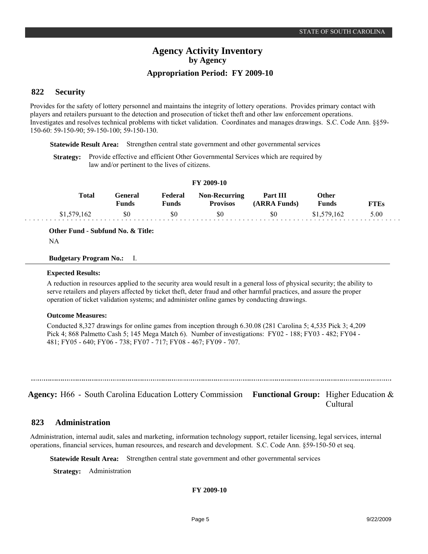# **Agency Activity Inventory by Agency Appropriation Period: FY 2009-10**

#### **Security 822**

Provides for the safety of lottery personnel and maintains the integrity of lottery operations. Provides primary contact with players and retailers pursuant to the detection and prosecution of ticket theft and other law enforcement operations. Investigates and resolves technical problems with ticket validation. Coordinates and manages drawings. S.C. Code Ann. §§59- 150-60: 59-150-90; 59-150-100; 59-150-130.

**Statewide Result Area:** Strengthen central state government and other governmental services

**Strategy:** Provide effective and efficient Other Governmental Services which are required by law and/or pertinent to the lives of citizens.

| <b>FI 2009-10</b> |                         |                  |                                         |                          |                |             |
|-------------------|-------------------------|------------------|-----------------------------------------|--------------------------|----------------|-------------|
| Total             | General<br><b>Funds</b> | Federal<br>Funds | <b>Non-Recurring</b><br><b>Provisos</b> | Part III<br>(ARRA Funds) | Other<br>Funds | <b>FTEs</b> |
| \$1,579,162       | \$0                     | \$0              | \$0                                     | SO.                      | \$1,579,162    | 5.00        |

**FY 2009-10**

**Other Fund - Subfund No. & Title:**

NA

### **Budgetary Program No.:** I.

### **Expected Results:**

A reduction in resources applied to the security area would result in a general loss of physical security; the ability to serve retailers and players affected by ticket theft, deter fraud and other harmful practices, and assure the proper operation of ticket validation systems; and administer online games by conducting drawings.

### **Outcome Measures:**

Conducted 8,327 drawings for online games from inception through 6.30.08 (281 Carolina 5; 4,535 Pick 3; 4,209 Pick 4; 868 Palmetto Cash 5; 145 Mega Match 6). Number of investigations: FY02 - 188; FY03 - 482; FY04 - 481; FY05 - 640; FY06 - 738; FY07 - 717; FY08 - 467; FY09 - 707.

**Agency:** H66 - South Carolina Education Lottery Commission Functional Group: Higher Education & Cultural

#### **Administration 823**

Administration, internal audit, sales and marketing, information technology support, retailer licensing, legal services, internal operations, financial services, human resources, and research and development. S.C. Code Ann. §59-150-50 et seq.

**Statewide Result Area:** Strengthen central state government and other governmental services

**Strategy:** Administration

**FY 2009-10**